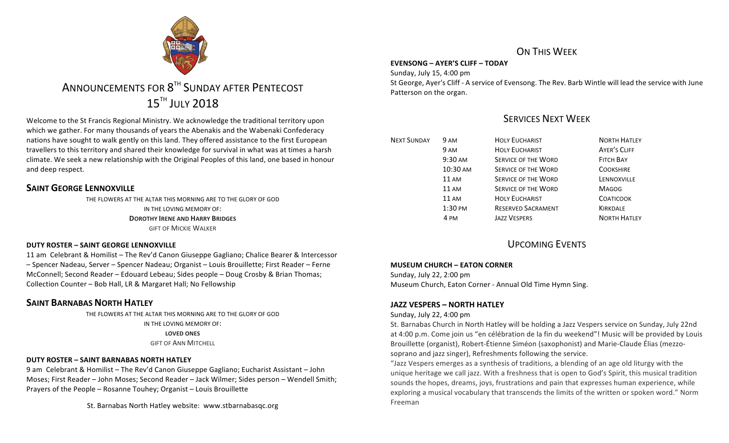

# ANNOUNCEMENTS FOR 8<sup>TH</sup> SUNDAY AFTER PENTECOST **15TH JULY 2018**

Welcome to the St Francis Regional Ministry. We acknowledge the traditional territory upon which we gather. For many thousands of years the Abenakis and the Wabenaki Confederacy nations have sought to walk gently on this land. They offered assistance to the first European travellers to this territory and shared their knowledge for survival in what was at times a harsh climate. We seek a new relationship with the Original Peoples of this land, one based in honour and deep respect.

# **SAINT GEORGE LENNOXVILLE**

THE FLOWERS AT THE ALTAR THIS MORNING ARE TO THE GLORY OF GOD IN THE LOVING MEMORY OF: **DOROTHY IRENE AND HARRY BRIDGES GIFT OF MICKIE WALKER** 

# **DUTY ROSTER – SAINT GEORGE LENNOXVILLE**

11 am Celebrant & Homilist – The Rev'd Canon Giuseppe Gagliano; Chalice Bearer & Intercessor – Spencer Nadeau, Server – Spencer Nadeau; Organist – Louis Brouillette; First Reader – Ferne McConnell; Second Reader – Edouard Lebeau; Sides people – Doug Crosby & Brian Thomas; Collection Counter - Bob Hall, LR & Margaret Hall; No Fellowship

# **SAINT BARNABAS NORTH HATLEY**

THE FLOWERS AT THE ALTAR THIS MORNING ARE TO THE GLORY OF GOD IN THE LOVING MEMORY OF: **LOVED ONES GIFT OF ANN MITCHELL** 

# **DUTY ROSTER – SAINT BARNABAS NORTH HATLEY**

9 am Celebrant & Homilist – The Rev'd Canon Giuseppe Gagliano; Eucharist Assistant – John Moses; First Reader - John Moses; Second Reader - Jack Wilmer; Sides person - Wendell Smith; Prayers of the People – Rosanne Touhey; Organist – Louis Brouillette

St. Barnabas North Hatley website: www.stbarnabasgc.org

# ON THIS WFFK

# **EVENSONG – AYER'S CLIFF – TODAY**

Sunday, July 15, 4:00 pm St George, Ayer's Cliff - A service of Evensong. The Rev. Barb Wintle will lead the service with June Patterson on the organ.

# SERVICES NEXT WEEK

| <b>NEXT SUNDAY</b> | 9 AM              | <b>HOLY EUCHARIST</b>      | <b>NORTH HATLEY</b> |
|--------------------|-------------------|----------------------------|---------------------|
|                    | 9 AM              | <b>HOLY EUCHARIST</b>      | <b>AYER'S CLIFF</b> |
|                    | $9:30 \text{ AM}$ | <b>SERVICE OF THE WORD</b> | <b>FITCH BAY</b>    |
|                    | 10:30 AM          | <b>SERVICE OF THE WORD</b> | <b>COOKSHIRE</b>    |
|                    | $11 \text{ AM}$   | <b>SERVICE OF THE WORD</b> | LENNOXVILLE         |
|                    | $11 \text{ AM}$   | <b>SERVICE OF THE WORD</b> | <b>MAGOG</b>        |
|                    | $11 \text{ AM}$   | <b>HOLY EUCHARIST</b>      | <b>COATICOOK</b>    |
|                    | $1:30$ PM         | <b>RESERVED SACRAMENT</b>  | <b>KIRKDALE</b>     |
|                    | 4 PM              | <b>JAZZ VESPERS</b>        | <b>NORTH HATLEY</b> |
|                    |                   |                            |                     |

# UPCOMING EVENTS

# **MUSEUM CHURCH – EATON CORNER**

Sunday, July 22, 2:00 pm Museum Church, Eaton Corner - Annual Old Time Hymn Sing.

# **JAZZ VESPERS – NORTH HATLEY**

# Sunday, July 22, 4:00 pm

St. Barnabas Church in North Hatley will be holding a Jazz Vespers service on Sunday, July 22nd at 4:00 p.m. Come join us "en célébration de la fin du weekend"! Music will be provided by Louis Brouillette (organist), Robert-Étienne Siméon (saxophonist) and Marie-Claude Élias (mezzosoprano and jazz singer), Refreshments following the service.

"Jazz Vespers emerges as a synthesis of traditions, a blending of an age old liturgy with the unique heritage we call jazz. With a freshness that is open to God's Spirit, this musical tradition sounds the hopes, dreams, joys, frustrations and pain that expresses human experience, while exploring a musical vocabulary that transcends the limits of the written or spoken word." Norm Freeman